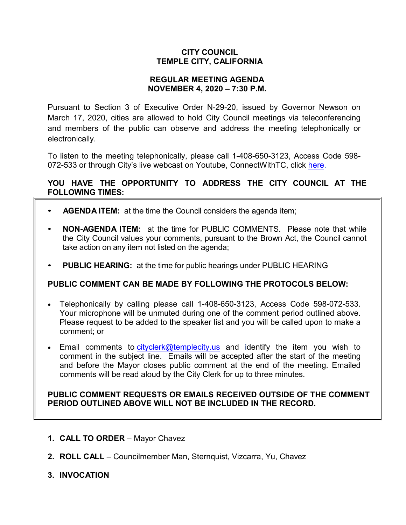# **CITY COUNCIL TEMPLE CITY, CALIFORNIA**

# **REGULAR MEETING AGENDA NOVEMBER 4, 2020 – 7:30 P.M.**

Pursuant to Section 3 of Executive Order N-29-20, issued by Governor Newson on March 17, 2020, cities are allowed to hold City Council meetings via teleconferencing and members of the public can observe and address the meeting telephonically or electronically.

To listen to the meeting telephonically, please call 1-408-650-3123, Access Code 598 072-533 or through City's live webcast on Youtube, ConnectWithTC, click [here.](https://www.ci.temple-city.ca.us/516/Meeting-Webcast)

# **YOU HAVE THE OPPORTUNITY TO ADDRESS THE CITY COUNCIL AT THE FOLLOWING TIMES:**

- **AGENDA ITEM:** at the time the Council considers the agenda item;
- **NON-AGENDA ITEM:** at the time for PUBLIC COMMENTS. Please note that while the City Council values your comments, pursuant to the Brown Act, the Council cannot take action on any item not listed on the agenda;
- **PUBLIC HEARING:** at the time for public hearings under PUBLIC HEARING

# **PUBLIC COMMENT CAN BE MADE BY FOLLOWING THE PROTOCOLS BELOW:**

- Telephonically by calling please call 1-408-650-3123, Access Code 598-072-533. Your microphone will be unmuted during one of the comment period outlined above. Please request to be added to the speaker list and you will be called upon to make a comment; or
- Email comments to [cityclerk@templecity.us](mailto:cityclerk@templecity.us) and identify the item you wish to comment in the subject line. Emails will be accepted after the start of the meeting and before the Mayor closes public comment at the end of the meeting. Emailed comments will be read aloud by the City Clerk for up to three minutes.

# **PUBLIC COMMENT REQUESTS OR EMAILS RECEIVED OUTSIDE OF THE COMMENT PERIOD OUTLINED ABOVE WILL NOT BE INCLUDED IN THE RECORD.**

- **1. CALL TO ORDER**  Mayor Chavez
- **2. ROLL CALL**  Councilmember Man, Sternquist, Vizcarra, Yu, Chavez
- **3. INVOCATION**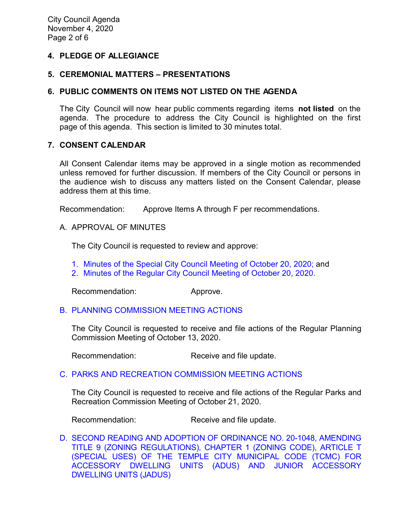# **4. PLEDGE OF ALLEGIANCE**

### **5. CEREMONIAL MATTERS – PRESENTATIONS**

### **6. PUBLIC COMMENTS ON ITEMS NOT LISTED ON THE AGENDA**

The City Council will now hear public comments regarding items **not listed** on the agenda. The procedure to address the City Council is highlighted on the first page of this agenda. This section is limited to 30 minutes total.

#### **7. CONSENT CALENDAR**

All Consent Calendar items may be approved in a single motion as recommended unless removed for further discussion. If members of the City Council or persons in the audience wish to discuss any matters listed on the Consent Calendar, please address them at this time.

Recommendation: Approve Items A through F per recommendations.

A. APPROVAL OF MINUTES

The City Council is requested to review and approve:

- 1. Minutes of the Special [City Council Meeting of October 20, 2020;](https://ca-templecity.civicplus.com/DocumentCenter/View/15259/7A1---CCM---2020-10-20-Special) and
- 2. [Minutes of the Regular City Council Meeting of October 20, 2020.](https://ca-templecity.civicplus.com/DocumentCenter/View/15260/7A2---CCM---2020-10-20)

Recommendation: Approve.

#### B. [PLANNING COMMISSION MEETING ACTIONS](https://ca-templecity.civicplus.com/DocumentCenter/View/15261/7B---PC-Actions---from-2020-10-13_Final)

The City Council is requested to receive and file actions of the Regular Planning Commission Meeting of October 13, 2020.

Recommendation: Receive and file update.

#### C. PARKS AND RECREATION [COMMISSION MEETING ACTIONS](https://ca-templecity.civicplus.com/DocumentCenter/View/15262/7C---PRC-Regular-Meeting-Actions_Staff-Report-2020-10-21_Final)

The City Council is requested to receive and file actions of the Regular Parks and Recreation Commission Meeting of October 21, 2020.

Recommendation: Receive and file update.

D. [SECOND READING AND ADOPTION OF ORDINANCE NO. 20-1048, AMENDING](https://ca-templecity.civicplus.com/DocumentCenter/View/15263/7D---ADU-Ordinance_2nd-Reading_Staff-Report_Final_w-attachments)  [TITLE 9 \(ZONING REGULATIONS\), CHAPTER 1 \(ZONING CODE\), ARTICLE T](https://ca-templecity.civicplus.com/DocumentCenter/View/15263/7D---ADU-Ordinance_2nd-Reading_Staff-Report_Final_w-attachments)  [\(SPECIAL USES\) OF THE TEMPLE CITY MUNICIPAL CODE \(TCMC\) FOR](https://ca-templecity.civicplus.com/DocumentCenter/View/15263/7D---ADU-Ordinance_2nd-Reading_Staff-Report_Final_w-attachments)  [ACCESSORY DWELLING UNITS \(ADUS\) AND JUNIOR ACCESSORY](https://ca-templecity.civicplus.com/DocumentCenter/View/15263/7D---ADU-Ordinance_2nd-Reading_Staff-Report_Final_w-attachments)  [DWELLING UNITS \(JADUS\)](https://ca-templecity.civicplus.com/DocumentCenter/View/15263/7D---ADU-Ordinance_2nd-Reading_Staff-Report_Final_w-attachments)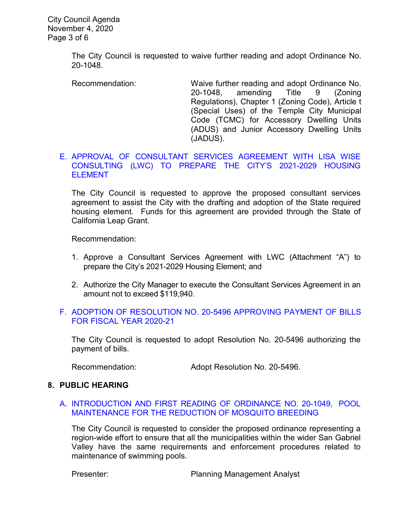City Council Agenda November 4, 2020 Page 3 of 6

> The City Council is requested to waive further reading and adopt Ordinance No. 20-1048.

Recommendation: Waive further reading and adopt Ordinance No. 20-1048, amending Title 9 (Zoning Regulations), Chapter 1 (Zoning Code), Article t (Special Uses) of the Temple City Municipal Code (TCMC) for Accessory Dwelling Units (ADUS) and Junior Accessory Dwelling Units (JADUS).

## E. [APPROVAL OF CONSULTANT SERVICES AGREEMENT WITH LISA WISE](https://ca-templecity.civicplus.com/DocumentCenter/View/15264/7E---Agreement-Lisa-Wise_-Housing-Element-Update_CC-Staff-Report-2020_11_04_Final-w-attachments)  [CONSULTING \(LWC\) TO PREPARE THE CITY'S 2021-2029](https://ca-templecity.civicplus.com/DocumentCenter/View/15264/7E---Agreement-Lisa-Wise_-Housing-Element-Update_CC-Staff-Report-2020_11_04_Final-w-attachments) HOUSING **[ELEMENT](https://ca-templecity.civicplus.com/DocumentCenter/View/15264/7E---Agreement-Lisa-Wise_-Housing-Element-Update_CC-Staff-Report-2020_11_04_Final-w-attachments)**

The City Council is requested to approve the proposed consultant services agreement to assist the City with the drafting and adoption of the State required housing element. Funds for this agreement are provided through the State of California Leap Grant.

Recommendation:

- 1. Approve a Consultant Services Agreement with LWC (Attachment "A") to prepare the City's 2021-2029 Housing Element; and
- 2. Authorize the City Manager to execute the Consultant Services Agreement in an amount not to exceed \$119,940.

### F. [ADOPTION OF RESOLUTION NO. 20-5496](https://ca-templecity.civicplus.com/DocumentCenter/View/15265/7F---Warrant_Reso-No-20-5496-110420_Final-w-attachment) APPROVING PAYMENT OF BILLS [FOR FISCAL YEAR 2020-21](https://ca-templecity.civicplus.com/DocumentCenter/View/15265/7F---Warrant_Reso-No-20-5496-110420_Final-w-attachment)

The City Council is requested to adopt Resolution No. 20-5496 authorizing the payment of bills.

Recommendation: Adopt Resolution No. 20-5496.

#### **8. PUBLIC HEARING**

#### A. [INTRODUCTION AND FIRST READING OF ORDINANCE NO. 20-1049,](https://ca-templecity.civicplus.com/DocumentCenter/View/15266/8A---Pool-Maintenance-for-Reduction-of-Mosquitos-_staff-Report_final-w-attachment) POOL [MAINTENANCE FOR THE REDUCTION OF MOSQUITO BREEDING](https://ca-templecity.civicplus.com/DocumentCenter/View/15266/8A---Pool-Maintenance-for-Reduction-of-Mosquitos-_staff-Report_final-w-attachment)

The City Council is requested to consider the proposed ordinance representing a region-wide effort to ensure that all the municipalities within the wider San Gabriel Valley have the same requirements and enforcement procedures related to maintenance of swimming pools.

Presenter: Presenter: Planning Management Analyst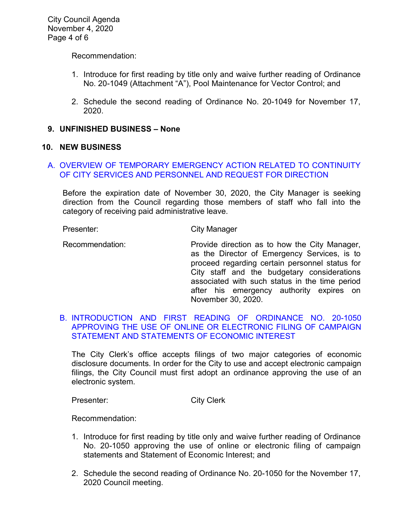City Council Agenda November 4, 2020 Page 4 of 6

Recommendation:

- 1. Introduce for first reading by title only and waive further reading of Ordinance No. 20-1049 (Attachment "A"), Pool Maintenance for Vector Control; and
- 2. Schedule the second reading of Ordinance No. 20-1049 for November 17, 2020.

#### **9. UNFINISHED BUSINESS – None**

#### **10. NEW BUSINESS**

# A. [OVERVIEW OF TEMPORARY EMERGENCY ACTION RELATED TO CONTINUITY](https://ca-templecity.civicplus.com/DocumentCenter/View/15267/10A---COVID-19_Final)  [OF CITY SERVICES AND PERSONNEL AND REQUEST FOR DIRECTION](https://ca-templecity.civicplus.com/DocumentCenter/View/15267/10A---COVID-19_Final)

Before the expiration date of November 30, 2020, the City Manager is seeking direction from the Council regarding those members of staff who fall into the category of receiving paid administrative leave.

Presenter: City Manager

Recommendation: Provide direction as to how the City Manager, as the Director of Emergency Services, is to proceed regarding certain personnel status for City staff and the budgetary considerations associated with such status in the time period after his emergency authority expires on November 30, 2020.

## B. [INTRODUCTION AND FIRST READING OF ORDINANCE NO. 20-1050](https://ca-templecity.civicplus.com/DocumentCenter/View/15273/10B---Ord-20-1050-Electronic-and-Paper-Methods-of-Filing-Campaign-Finance-Disclosure-Statements_Final-w-attachment)  [APPROVING THE USE OF ONLINE OR ELECTRONIC FILING OF CAMPAIGN](https://ca-templecity.civicplus.com/DocumentCenter/View/15273/10B---Ord-20-1050-Electronic-and-Paper-Methods-of-Filing-Campaign-Finance-Disclosure-Statements_Final-w-attachment)  [STATEMENT AND STATEMENTS OF ECONOMIC INTEREST](https://ca-templecity.civicplus.com/DocumentCenter/View/15273/10B---Ord-20-1050-Electronic-and-Paper-Methods-of-Filing-Campaign-Finance-Disclosure-Statements_Final-w-attachment)

The City Clerk's office accepts filings of two major categories of economic disclosure documents. In order for the City to use and accept electronic campaign filings, the City Council must first adopt an ordinance approving the use of an electronic system.

Presenter: City Clerk

Recommendation:

- 1. Introduce for first reading by title only and waive further reading of Ordinance No. 20-1050 approving the use of online or electronic filing of campaign statements and Statement of Economic Interest; and
- 2. Schedule the second reading of Ordinance No. 20-1050 for the November 17, 2020 Council meeting.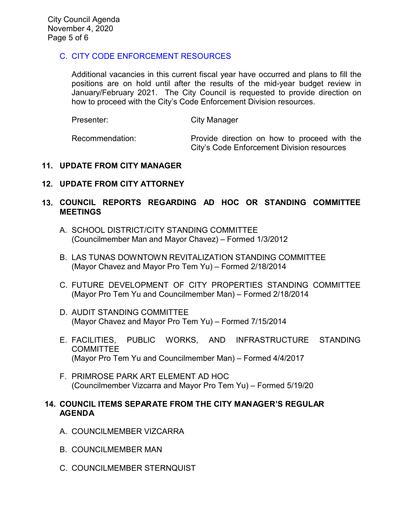# C. [CITY CODE ENFORCEMENT RESOURCES](https://ca-templecity.civicplus.com/DocumentCenter/View/15268/10C---Code-Enforcement_staff-report_Final)

Additional vacancies in this current fiscal year have occurred and plans to fill the positions are on hold until after the results of the mid-year budget review in January/February 2021. The City Council is requested to provide direction on how to proceed with the City's Code Enforcement Division resources.

| Presenter:      | City Manager                                                                               |
|-----------------|--------------------------------------------------------------------------------------------|
| Recommendation: | Provide direction on how to proceed with the<br>City's Code Enforcement Division resources |

# **11. UPDATE FROM CITY MANAGER**

# **12. UPDATE FROM CITY ATTORNEY**

# **13. COUNCIL REPORTS REGARDING AD HOC OR STANDING COMMITTEE MEETINGS**

- A. SCHOOL DISTRICT/CITY STANDING COMMITTEE (Councilmember Man and Mayor Chavez) – Formed 1/3/2012
- B. LAS TUNAS DOWNTOWN REVITALIZATION STANDING COMMITTEE (Mayor Chavez and Mayor Pro Tem Yu) – Formed 2/18/2014
- C. FUTURE DEVELOPMENT OF CITY PROPERTIES STANDING COMMITTEE (Mayor Pro Tem Yu and Councilmember Man) – Formed 2/18/2014
- D. AUDIT STANDING COMMITTEE (Mayor Chavez and Mayor Pro Tem Yu) – Formed 7/15/2014
- E. FACILITIES, PUBLIC WORKS, AND INFRASTRUCTURE STANDING **COMMITTEE** (Mayor Pro Tem Yu and Councilmember Man) – Formed 4/4/2017
- F. PRIMROSE PARK ART ELEMENT AD HOC (Councilmember Vizcarra and Mayor Pro Tem Yu) – Formed 5/19/20

## **14. COUNCIL ITEMS SEPARATE FROM THE CITY MANAGER'S REGULAR AGENDA**

- A. COUNCILMEMBER VIZCARRA
- B. COUNCILMEMBER MAN
- C. COUNCILMEMBER STERNQUIST